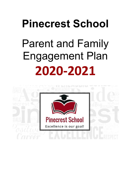## **Pinecrest School**

# Parent and Family Engagement Plan **2020-2021**

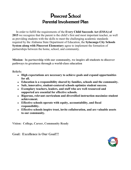### Pinecrest School Parental Involvement Plan

In order to fulfill the requirements of the **Every Child Succeeds Act (ESSA) of 2015** we recognize that the parent is the child's first and most important teacher, as well as providing students with the skills to meet the challenging academic standards required by the Alabama State Department of Education, the **Sylacauga City Schools System along with Pinecrest Elementary** agree to implement the formation of partnerships between the home, school, and community.

**Mission: In partnership with our community, we inspire all students to discover pathways to greatness through a world-class education**

**Beliefs:**

- **● High expectations are necessary to achieve goals and expand opportunities for all.**
- **● Education is a responsibility shared by families, schools and the community.**
- **● Safe, innovative, student-centered schools optimize student success.**
- **● Exemplary teachers, leaders, and staff who are well resourced and supported are essential for effective schools.**
- **● Rigorous, relevant curriculum and diversified instruction maximize student achievement.**
- **● Effective schools operate with equity, accountability, and fiscal responsibility.**
- **● Effective schools inspire trust, invite collaboration, and are valuable assets to our community.**

**Vision: College, Career, Community Ready**

**Goal: Excellence is Our Goal!!!**

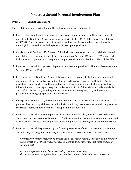#### **Pinecrest School Parental Involvement Plan**

#### **PART I. General Expectations**

Pinecrest School agrees to implement the following statutory requirements:

- ❖ Pinecrest School will implement programs, activities, and procedures for the involvement of parents with Title I, Part A programs, consistent with Section 1112 of the Every Student Succeeds Act (ESSA). These programs, activities, and procedures will be planned and operated with meaningful consultations with the parents of participating children.
- ❖ Consistent with Section 1112, Pinecrest School will work to ensure that the crucial school-level, parental involvement policies meet the requirements of Section 1112(b) of the ESSA, and each include, as a component, a school-parent compact consistent with Section 1118(d) of the ESSA.
- ❖ Pinecrest School will incorporate this parental involvement plan into its LEA plan developed under Section 1112 of the ESSA.
- $\clubsuit$  In carrying out the Title I, Part A parental involvement requirements, to the extent practicable, our school will provide full opportunities for the participation of parents with limited English proficiency, parents with disabilities, and parents of migratory children, including providing information and school reports required under Section 1111 of the ESSA in an understandable and uniform format and, including alternative formats upon request, and, to the extent practicable, in a language parents can understand.
- $\clubsuit$  If the plan for Title I, Part A, developed under Section 1112 of the ESSA, is not satisfactory to the parents of participating children, our school will submit any parent comments with the plan when the school submits the plan to the State Department of Education.
- ❖ Pinecrest School will involve the parents of children served in Title I, Part A schools in decisions about how the one percent of Title I, Part A funds reserved for parental involvement is spent, and will ensure that not less than 95 percent of the one percent reserved goes directly to the school.
- ❖ Pinecrest School will be governed by the following statutory definition of parental involvement and will carry out programs, activities, and procedures in accordance with this definition:

*Parental involvement means the participation of parents in regular, two-way, and meaningful communication involving student academic learning and other school activities, including ensuring that:*

- *parents play an integral role in assisting their child's learning;*
- *parents are encouraged to be actively involved in their child's education at school;*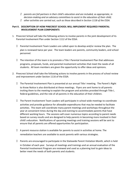- *parents are full partners in their child's education and are included, as appropriate, in decision-making and on advisory committees to assist in the education of their child;*
- *other activities are carried out, such as those described in Section 1118 of the ESSA.*

#### **Part II. DESCRIPTION OF HOW PINECREST SCHOOL WILL IMPLEMENT REQUIRED PARENTAL INVOLVEMENT PLAN COMPONENTS**

- 1. Pinecrest School will take the following actions to involve parents in the joint development of its Parental Involvement Plan under Section 1112 of the ESSA:
	- $\Box$  Parental Involvement Team Leaders are called upon to develop and/or review the plan. The plan is reviewed twice per year. The team leaders are parents, community leaders, and school personnel.
	- $\Box$  The intention of this team is to promote a Title I Parental Involvement Plan that addresses programs, proposals, funds, and parental involvement activities that meet the needs of all students. All team members are given the opportunity to offer ideas and opinions.
- 2. Pinecrest School shall take the following actions to involve parents in the process of school review and improvement under Section 1116 of the ESSA:
	- $\Box$  The Parental Involvement Plan is presented at our annual Title I meeting. The Parent's Right to Know Notice is also distributed at these meetings. Flyers are sent home to all parents inviting them to the meeting to explain the program and activities provided through Title I, federal guidelines, and the role of all parents in the education of their children.
	- The Parent Involvement Team Leaders will participate in school-wide meetings to coordinate activities and provide guidance for allowable expenditures that may be needed to facilitate activities. This team will coordinate many parent meetings and workshops throughout the year at convenient times during the day and evening to accommodate parents that have different working hours. The sessions will cover numerous topics according to parent needs based on survey results and are designed to help parents in becoming more involved in their child's education. Notifications of upcoming meetings and training sessions will be sent to ensure that all parents are offered opportunities for participation.
	- $\Box$  A parent resource station is available for parents to assist in activities at home. The remediation teachers are available to assist parents with various strategies.
	- $\Box$  Parents are encouraged to participate in the Statewide Parent Visitation Month, which is held in October of each year. Surveys of meetings and trainings and an annual evaluation of the Parental Involvement Program are reviewed and used as a planning tool to gain ideas to better meet the needs of both parents and students.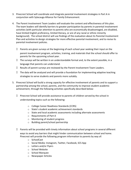- 3. Pinecrest School will coordinate and integrate parental involvement strategies in Part A in conjunction with Sylacauga Alliance for Family Enhancement.
- 4. The Parent Involvement Team Leaders will evaluate the content and effectiveness of this plan. The team leaders will identify barriers to greater participation by parents in parental involvement activities (with particular attention to parents who are economically disadvantaged, are disabled, have limited English proficiency, limited literacy, or are of any racial or ethnic minority background). The school district will use findings of the evaluation about its Parental Involvement Plan and activities to design strategies for more effective parental involvement, and to revise its parental involvement policies.
	- $\Box$  Parents are given surveys at the beginning of each school year seeking their input on the parent involvement program, activities, training, and materials that the school should offer to parents for the upcoming school year.
	- $\Box$  The surveys will be written in an understandable format and, to the extent possible, in a language that parents can understand.
	- $\Box$  Results of parent surveys are reviewed by the Parent Involvement Team Leaders.
	- $\Box$  The data will be analyzed and will provide a foundation for implementing adaptive teaching strategies to serve students and parents more suitably.
- 5. Pinecrest School will build a strong capacity for effective involvement of parents and to support a partnership among the school, parents, and the community to improve student academic achievement, through the following activities specifically described below:
	- $\Box$  Pinecrest School will provide assistance to parents of children served by the school in understanding topics such as the following:
		- o College Career Readiness Standards (CCRS)
		- o State's student academic achievement standards
		- o State and local academic assessments including alternate assessments
		- o Requirements of Part A
		- o Monitoring of student progress
		- o Building parent/school partnership
	- $\Box$  Parents will be provided with timely information about school programs in several different ways to avoid any barriers that might hinder communication between school and home. Pinecrest will provide the following program information to parents by way of:
		- o SchoolCast
		- o Social Media: Instagram, Twitter, Facebook, SCS App
		- o Letters and/or Flyers
		- o School Website
		- o School Marquee
		- o Newspaper Articles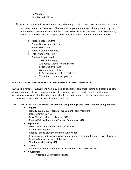- o TV Monitors
- o Data Portfolio Binders
- $\Box$  Pinecrest School will provide materials and training to help parents work with their children to improve academic achievement. The team will implement and coordinate parent programs and build ties between parents and the school. We will collaborate with various community resources to encourage and support all parents in an understandable and uniform format.
	- o Parent Resource Center
	- o Parent Library in Media Center
	- o Parent Workshops
	- o Parent Visitation Activities
	- o Title I Annual Meeting
	- o Community partnerships
		- SAFE and Bridges,
		- AltaPointe (Mental Health Services)
		- Leadership Sylacauga
		- Alabama Food Solutions,
		- EL Services with certified teacher
		- Trans Act computer program, etc.

#### **PART III. DISCRETIONARY PARENTAL INVOLVEMENT PLAN COMPONENTS**

NOTE: The Parental Involvement Plan may include additional paragraphs listing and describing other discretionary activities in consultation with its parents, chooses to undertake to build parents' capacity for involvement in the school and school system to support their children's academic achievement listed under section 1118(e) of the ESSA.

#### **TENTATIVE CALENDAR OF EVENTS: (All activities are pending Covid-19 restrictions and guidelines)**

- **• August:**
	- Identify 2020- 2021 Parental Involvement Team members
	- Update Parent Survey
	- Drive-Through Meet the Teacher **(#1)**
	- Blended/Virtual Parent and Student Orientation **(#2)**
- **September:**
	- Distribute Parent, Student and Staff Surveys
	- Parent team meeting
	- Analyze Parent, Student and Staff Survey data
	- Plan activities and workshops based on survey results (implemented every 6 weeks)\*
	- Develop timeline for parental engagement
	- Title I Annual Meeting **(#3)**
- **October:**
	- Parent Visitation Activity **(#4)** As allowed by Covid-19 restrictions
- **● November:**
	- -Veteran's Day Presentation **(#5)**